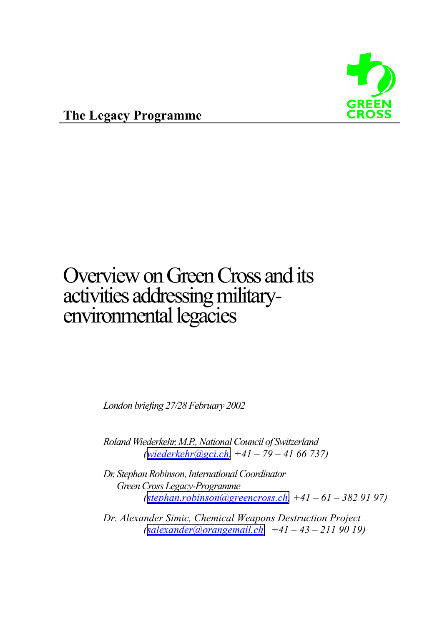

## Overview on Green Cross and its activities addressing militaryenvironmental legacies

*London briefing 27/28 February 2002* 

*Roland Wiederkehr, M.P., National Council of Switzerland ([wiederkehr@gci.ch,](mailto:wiederkehr@gci.ch) +41 – 79 – 41 66 737)* 

*Dr. Stephan Robinson, International Coordinator Green Cross Legacy-Programme ([stephan.robinson@greencross.ch,](mailto:stephan.robinson@greencross.ch) +41 – 61 – 382 91 97)* 

*Dr. Alexander Simic, Chemical Weapons Destruction Project ([salexander@orangemail.ch,](mailto:salexander@orangemail.ch) +41 – 43 – 211 90 19)*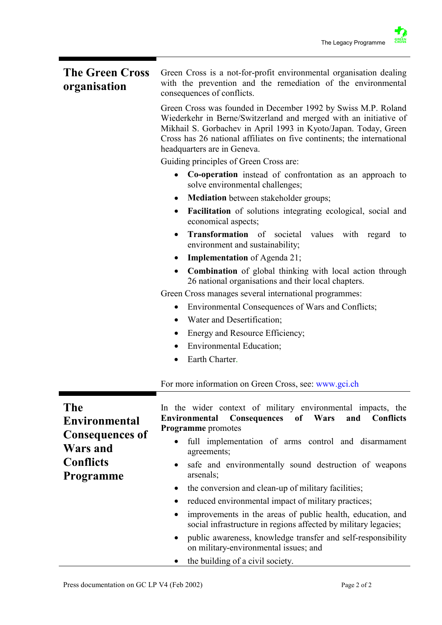## **The Green Cross organisation**  Green Cross is a not-for-profit environmental organisation dealing with the prevention and the remediation of the environmental consequences of conflicts.

Green Cross was founded in December 1992 by Swiss M.P. Roland Wiederkehr in Berne/Switzerland and merged with an initiative of Mikhail S. Gorbachev in April 1993 in Kyoto/Japan. Today, Green Cross has 26 national affiliates on five continents; the international headquarters are in Geneva.

Guiding principles of Green Cross are:

- **Co-operation** instead of confrontation as an approach to solve environmental challenges;
- **Mediation** between stakeholder groups;
- **Facilitation** of solutions integrating ecological, social and economical aspects;
- **Transformation** of societal values with regard to environment and sustainability;
- **Implementation** of Agenda 21;
- **Combination** of global thinking with local action through 26 national organisations and their local chapters.

Green Cross manages several international programmes:

- Environmental Consequences of Wars and Conflicts;
- Water and Desertification;
- Energy and Resource Efficiency;
- Environmental Education:
- Earth Charter.

For more information on Green Cross, see: www.gci.ch

| <b>The</b>             | In the wider context of military environmental impacts, the                                                                                |
|------------------------|--------------------------------------------------------------------------------------------------------------------------------------------|
| <b>Environmental</b>   | Environmental Consequences of Wars<br>and<br><b>Conflicts</b><br><b>Programme</b> promotes                                                 |
| <b>Consequences of</b> | full implementation of arms control and disarmament<br>$\bullet$                                                                           |
| Wars and               | agreements;                                                                                                                                |
| <b>Conflicts</b>       | safe and environmentally sound destruction of weapons<br>$\bullet$                                                                         |
| <b>Programme</b>       | arsenals;                                                                                                                                  |
|                        | • the conversion and clean-up of military facilities;                                                                                      |
|                        | reduced environmental impact of military practices;<br>$\bullet$                                                                           |
|                        | improvements in the areas of public health, education, and<br>$\bullet$<br>social infrastructure in regions affected by military legacies; |
|                        | public awareness, knowledge transfer and self-responsibility<br>on military-environmental issues; and                                      |
|                        | the building of a civil society.                                                                                                           |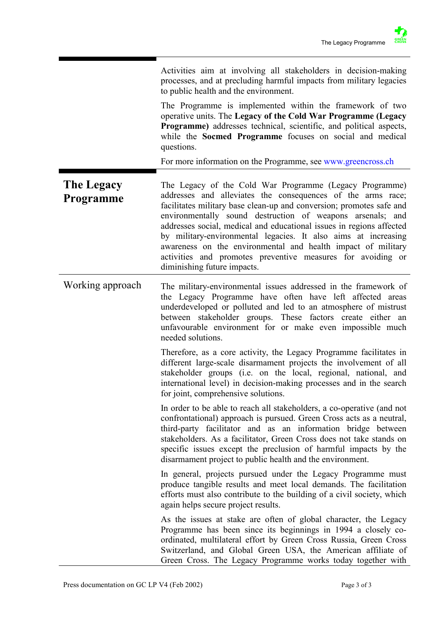Activities aim at involving all stakeholders in decision-making processes, and at precluding harmful impacts from military legacies to public health and the environment.

The Programme is implemented within the framework of two operative units. The **Legacy of the Cold War Programme (Legacy Programme)** addresses technical, scientific, and political aspects, while the **Socmed Programme** focuses on social and medical questions.

For more information on the Programme, see www.greencross.ch

**The Legacy Programme**  The Legacy of the Cold War Programme (Legacy Programme) addresses and alleviates the consequences of the arms race; facilitates military base clean-up and conversion; promotes safe and environmentally sound destruction of weapons arsenals; and addresses social, medical and educational issues in regions affected by military-environmental legacies. It also aims at increasing awareness on the environmental and health impact of military activities and promotes preventive measures for avoiding or diminishing future impacts.

Working approach The military-environmental issues addressed in the framework of the Legacy Programme have often have left affected areas underdeveloped or polluted and led to an atmosphere of mistrust between stakeholder groups. These factors create either an unfavourable environment for or make even impossible much needed solutions.

> Therefore, as a core activity, the Legacy Programme facilitates in different large-scale disarmament projects the involvement of all stakeholder groups (i.e. on the local, regional, national, and international level) in decision-making processes and in the search for joint, comprehensive solutions.

> In order to be able to reach all stakeholders, a co-operative (and not confrontational) approach is pursued. Green Cross acts as a neutral, third-party facilitator and as an information bridge between stakeholders. As a facilitator, Green Cross does not take stands on specific issues except the preclusion of harmful impacts by the disarmament project to public health and the environment.

> In general, projects pursued under the Legacy Programme must produce tangible results and meet local demands. The facilitation efforts must also contribute to the building of a civil society, which again helps secure project results.

> As the issues at stake are often of global character, the Legacy Programme has been since its beginnings in 1994 a closely coordinated, multilateral effort by Green Cross Russia, Green Cross Switzerland, and Global Green USA, the American affiliate of Green Cross. The Legacy Programme works today together with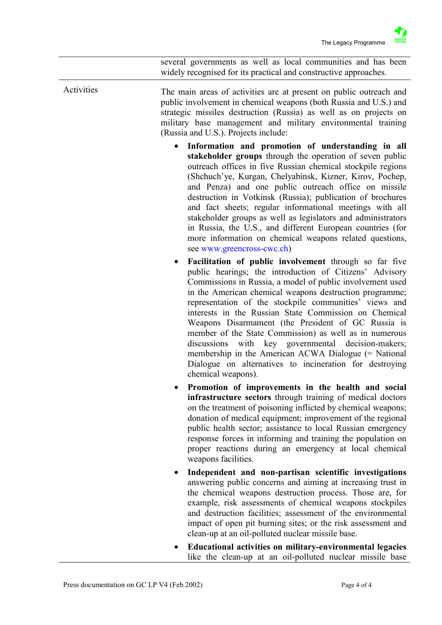several governments as well as local communities and has been widely recognised for its practical and constructive approaches.

Activities The main areas of activities are at present on public outreach and public involvement in chemical weapons (both Russia and U.S.) and strategic missiles destruction (Russia) as well as on projects on military base management and military environmental training (Russia and U.S.). Projects include:

- **Information and promotion of understanding in all stakeholder groups** through the operation of seven public outreach offices in five Russian chemical stockpile regions (Shchuch'ye, Kurgan, Chelyabinsk, Kizner, Kirov, Pochep, and Penza) and one public outreach office on missile destruction in Votkinsk (Russia); publication of brochures and fact sheets; regular informational meetings with all stakeholder groups as well as legislators and administrators in Russia, the U.S., and different European countries (for more information on chemical weapons related questions, see www.greencross-cwc.ch)
- **Facilitation of public involvement** through so far five public hearings; the introduction of Citizens' Advisory Commissions in Russia, a model of public involvement used in the American chemical weapons destruction programme; representation of the stockpile communities' views and interests in the Russian State Commission on Chemical Weapons Disarmament (the President of GC Russia is member of the State Commission) as well as in numerous discussions with key governmental decision-makers; membership in the American ACWA Dialogue (= National Dialogue on alternatives to incineration for destroying chemical weapons).
- **Promotion of improvements in the health and social infrastructure sectors** through training of medical doctors on the treatment of poisoning inflicted by chemical weapons; donation of medical equipment; improvement of the regional public health sector; assistance to local Russian emergency response forces in informing and training the population on proper reactions during an emergency at local chemical weapons facilities.
- **Independent and non-partisan scientific investigations** answering public concerns and aiming at increasing trust in the chemical weapons destruction process. Those are, for example, risk assessments of chemical weapons stockpiles and destruction facilities; assessment of the environmental impact of open pit burning sites; or the risk assessment and clean-up at an oil-polluted nuclear missile base.
- **Educational activities on military-environmental legacies**  like the clean-up at an oil-polluted nuclear missile base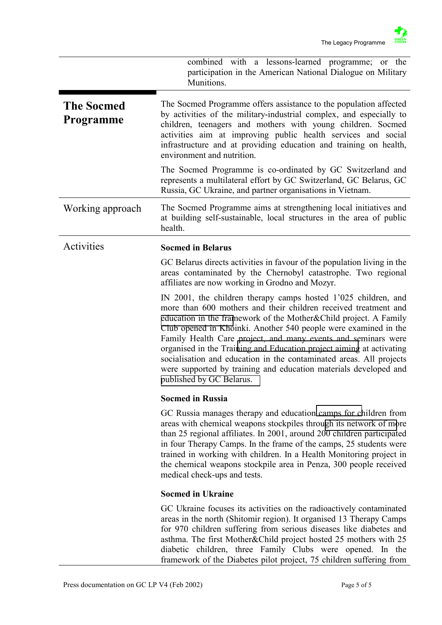|                                       | combined with a lessons-learned programme; or the<br>participation in the American National Dialogue on Military<br>Munitions.                                                                                                                                                                                                                                                                                                                                                                                                                                                           |
|---------------------------------------|------------------------------------------------------------------------------------------------------------------------------------------------------------------------------------------------------------------------------------------------------------------------------------------------------------------------------------------------------------------------------------------------------------------------------------------------------------------------------------------------------------------------------------------------------------------------------------------|
| <b>The Socmed</b><br><b>Programme</b> | The Socmed Programme offers assistance to the population affected<br>by activities of the military-industrial complex, and especially to<br>children, teenagers and mothers with young children. Socmed<br>activities aim at improving public health services and social<br>infrastructure and at providing education and training on health,<br>environment and nutrition.                                                                                                                                                                                                              |
|                                       | The Socmed Programme is co-ordinated by GC Switzerland and<br>represents a multilateral effort by GC Switzerland, GC Belarus, GC<br>Russia, GC Ukraine, and partner organisations in Vietnam.                                                                                                                                                                                                                                                                                                                                                                                            |
| Working approach                      | The Socmed Programme aims at strengthening local initiatives and<br>at building self-sustainable, local structures in the area of public<br>health.                                                                                                                                                                                                                                                                                                                                                                                                                                      |
| Activities                            | <b>Socmed in Belarus</b>                                                                                                                                                                                                                                                                                                                                                                                                                                                                                                                                                                 |
|                                       | GC Belarus directs activities in favour of the population living in the<br>areas contaminated by the Chernobyl catastrophe. Two regional<br>affiliates are now working in Grodno and Mozyr.                                                                                                                                                                                                                                                                                                                                                                                              |
|                                       | IN 2001, the children therapy camps hosted 1'025 children, and<br>more than 600 mothers and their children received treatment and<br>education in the framework of the Mother&Child project. A Family<br>Club opened in Khoinki. Another 540 people were examined in the<br>Family Health Care project, and many events and seminars were<br>organised in the Training and Education project aiming at activating<br>socialisation and education in the contaminated areas. All projects<br>were supported by training and education materials developed and<br>published by GC Belarus. |
|                                       | <b>Socmed in Russia</b>                                                                                                                                                                                                                                                                                                                                                                                                                                                                                                                                                                  |
|                                       | GC Russia manages therapy and education camps for children from<br>areas with chemical weapons stockpiles through its network of more<br>than 25 regional affiliates. In 2001, around 200 children participated<br>in four Therapy Camps. In the frame of the camps, 25 students were<br>trained in working with children. In a Health Monitoring project in<br>the chemical weapons stockpile area in Penza, 300 people received<br>medical check-ups and tests.                                                                                                                        |
|                                       | <b>Socmed in Ukraine</b>                                                                                                                                                                                                                                                                                                                                                                                                                                                                                                                                                                 |
|                                       | GC Ukraine focuses its activities on the radioactively contaminated<br>areas in the north (Shitomir region). It organised 13 Therapy Camps<br>for 970 children suffering from serious diseases like diabetes and<br>asthma. The first Mother&Child project hosted 25 mothers with 25<br>diabetic children, three Family Clubs were opened. In the<br>framework of the Diabetes pilot project, 75 children suffering from                                                                                                                                                                 |